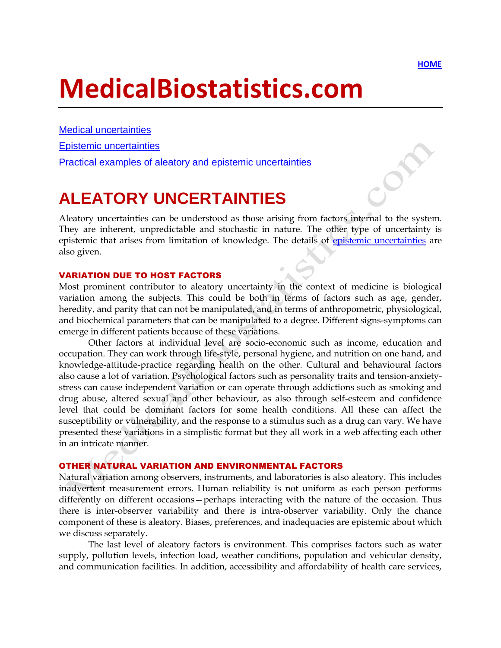$\delta^2$ 

# **MedicalBiostatistics.com**

[Medical uncertainties](http://www.medicalbiostatistics.com/MedicalUncertainties.pdf) [Epistemic uncertainties](http://www.medicalbiostatistics.com/EpistemicUncertainties.pdf)

Practical examples [of aleatory and epistemic uncertainties](http://www.medicalbiostatistics.com/ExamplesAleatoryEpistemic.pdf)

## **ALEATORY UNCERTAINTIES**

Aleatory uncertainties can be understood as those arising from factors internal to the system. They are inherent, unpredictable and stochastic in nature. The other type of uncertainty is epistemic that arises from limitation of knowledge. The details of [epistemic uncertainties](http://www.medicalbiostatistics.com/EpistemicUncertainties.pdf) are also given.

#### VARIATION DUE TO HOST FACTORS

Most prominent contributor to aleatory uncertainty in the context of medicine is biological variation among the subjects. This could be both in terms of factors such as age, gender, heredity, and parity that can not be manipulated, and in terms of anthropometric, physiological, and biochemical parameters that can be manipulated to a degree. Different signs-symptoms can emerge in different patients because of these variations.

Other factors at individual level are socio-economic such as income, education and occupation. They can work through life-style, personal hygiene, and nutrition on one hand, and knowledge-attitude-practice regarding health on the other. Cultural and behavioural factors also cause a lot of variation. Psychological factors such as personality traits and tension-anxietystress can cause independent variation or can operate through addictions such as smoking and drug abuse, altered sexual and other behaviour, as also through self-esteem and confidence level that could be dominant factors for some health conditions. All these can affect the susceptibility or vulnerability, and the response to a stimulus such as a drug can vary. We have presented these variations in a simplistic format but they all work in a web affecting each other in an intricate manner.

#### OTHER NATURAL VARIATION AND ENVIRONMENTAL FACTORS

Natural variation among observers, instruments, and laboratories is also aleatory. This includes inadvertent measurement errors. Human reliability is not uniform as each person performs differently on different occasions—perhaps interacting with the nature of the occasion. Thus there is inter-observer variability and there is intra-observer variability. Only the chance component of these is aleatory. Biases, preferences, and inadequacies are epistemic about which we discuss separately.

The last level of aleatory factors is environment. This comprises factors such as water supply, pollution levels, infection load, weather conditions, population and vehicular density, and communication facilities. In addition, accessibility and affordability of health care services,